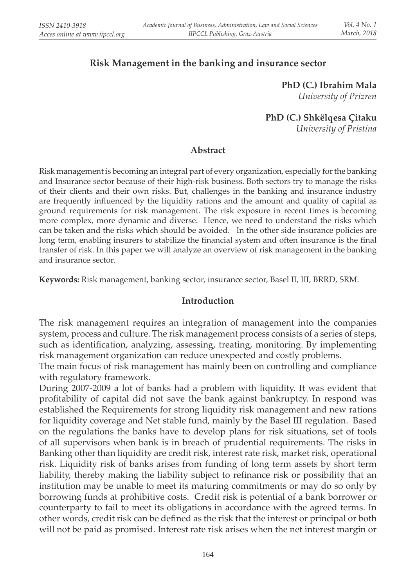## **Risk Management in the banking and insurance sector**

**PhD (C.) Ibrahim Mala**  *University of Prizren*

**PhD (C.) Shkëlqesa Çitaku**

*University of Pristina*

#### **Abstract**

Risk management is becoming an integral part of every organization, especially for the banking and Insurance sector because of their high-risk business. Both sectors try to manage the risks of their clients and their own risks. But, challenges in the banking and insurance industry are frequently influenced by the liquidity rations and the amount and quality of capital as ground requirements for risk management. The risk exposure in recent times is becoming more complex, more dynamic and diverse. Hence, we need to understand the risks which can be taken and the risks which should be avoided. In the other side insurance policies are long term, enabling insurers to stabilize the financial system and often insurance is the final transfer of risk. In this paper we will analyze an overview of risk management in the banking and insurance sector.

**Keywords:** Risk management, banking sector, insurance sector, Basel II, III, BRRD, SRM.

#### **Introduction**

The risk management requires an integration of management into the companies system, process and culture. The risk management process consists of a series of steps, such as identification, analyzing, assessing, treating, monitoring. By implementing risk management organization can reduce unexpected and costly problems.

The main focus of risk management has mainly been on controlling and compliance with regulatory framework.

During 2007-2009 a lot of banks had a problem with liquidity. It was evident that profi tability of capital did not save the bank against bankruptcy. In respond was established the Requirements for strong liquidity risk management and new rations for liquidity coverage and Net stable fund, mainly by the Basel III regulation. Based on the regulations the banks have to develop plans for risk situations, set of tools of all supervisors when bank is in breach of prudential requirements. The risks in Banking other than liquidity are credit risk, interest rate risk, market risk, operational risk. Liquidity risk of banks arises from funding of long term assets by short term liability, thereby making the liability subject to refinance risk or possibility that an institution may be unable to meet its maturing commitments or may do so only by borrowing funds at prohibitive costs. Credit risk is potential of a bank borrower or counterparty to fail to meet its obligations in accordance with the agreed terms. In other words, credit risk can be defined as the risk that the interest or principal or both will not be paid as promised. Interest rate risk arises when the net interest margin or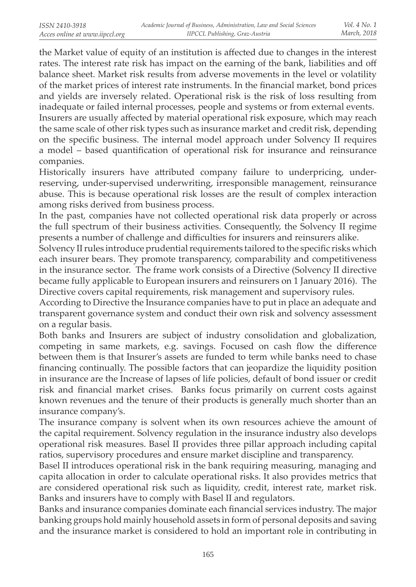the Market value of equity of an institution is affected due to changes in the interest rates. The interest rate risk has impact on the earning of the bank, liabilities and off balance sheet. Market risk results from adverse movements in the level or volatility of the market prices of interest rate instruments. In the financial market, bond prices and yields are inversely related. Operational risk is the risk of loss resulting from inadequate or failed internal processes, people and systems or from external events. Insurers are usually affected by material operational risk exposure, which may reach the same scale of other risk types such as insurance market and credit risk, depending on the specific business. The internal model approach under Solvency II requires a model – based quantification of operational risk for insurance and reinsurance companies.

Historically insurers have attributed company failure to underpricing, underreserving, under-supervised underwriting, irresponsible management, reinsurance abuse. This is because operational risk losses are the result of complex interaction among risks derived from business process.

In the past, companies have not collected operational risk data properly or across the full spectrum of their business activities. Consequently, the Solvency II regime presents a number of challenge and difficulties for insurers and reinsurers alike.

Solvency II rules introduce prudential requirements tailored to the specific risks which each insurer bears. They promote transparency, comparability and competitiveness in the insurance sector. The frame work consists of a Directive (Solvency II directive became fully applicable to European insurers and reinsurers on 1 January 2016). The Directive covers capital requirements, risk management and supervisory rules.

According to Directive the Insurance companies have to put in place an adequate and transparent governance system and conduct their own risk and solvency assessment on a regular basis.

Both banks and Insurers are subject of industry consolidation and globalization, competing in same markets, e.g. savings. Focused on cash flow the difference between them is that Insurer's assets are funded to term while banks need to chase financing continually. The possible factors that can jeopardize the liquidity position in insurance are the Increase of lapses of life policies, default of bond issuer or credit risk and financial market crises. Banks focus primarily on current costs against known revenues and the tenure of their products is generally much shorter than an insurance company's.

The insurance company is solvent when its own resources achieve the amount of the capital requirement. Solvency regulation in the insurance industry also develops operational risk measures. Basel II provides three pillar approach including capital ratios, supervisory procedures and ensure market discipline and transparency.

Basel II introduces operational risk in the bank requiring measuring, managing and capita allocation in order to calculate operational risks. It also provides metrics that are considered operational risk such as liquidity, credit, interest rate, market risk. Banks and insurers have to comply with Basel II and regulators.

Banks and insurance companies dominate each financial services industry. The major banking groups hold mainly household assets in form of personal deposits and saving and the insurance market is considered to hold an important role in contributing in